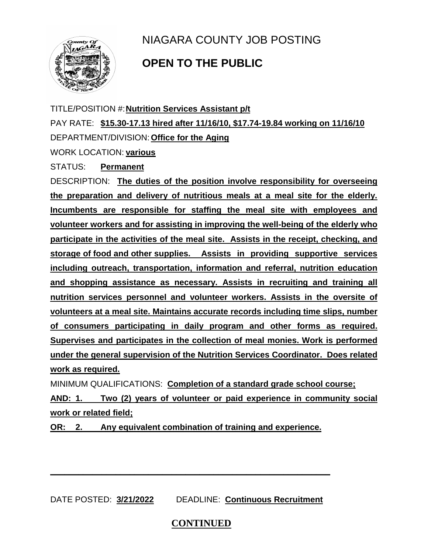

## NIAGARA COUNTY JOB POSTING

## **OPEN TO THE PUBLIC**

TITLE/POSITION #:**Nutrition Services Assistant p/t**  PAY RATE: **\$15.30-17.13 hired after 11/16/10, \$17.74-19.84 working on 11/16/10** DEPARTMENT/DIVISION: **Office for the Aging**

WORK LOCATION: **various**

STATUS: **Permanent**

DESCRIPTION: **The duties of the position involve responsibility for overseeing the preparation and delivery of nutritious meals at a meal site for the elderly. Incumbents are responsible for staffing the meal site with employees and volunteer workers and for assisting in improving the well-being of the elderly who participate in the activities of the meal site. Assists in the receipt, checking, and storage of food and other supplies. Assists in providing supportive services including outreach, transportation, information and referral, nutrition education and shopping assistance as necessary. Assists in recruiting and training all nutrition services personnel and volunteer workers. Assists in the oversite of volunteers at a meal site. Maintains accurate records including time slips, number of consumers participating in daily program and other forms as required. Supervises and participates in the collection of meal monies. Work is performed under the general supervision of the Nutrition Services Coordinator. Does related work as required.**

MINIMUM QUALIFICATIONS: **Completion of a standard grade school course;**

**AND: 1. Two (2) years of volunteer or paid experience in community social work or related field;** 

**OR: 2. Any equivalent combination of training and experience.**

DATE POSTED: **3/21/2022** DEADLINE: **Continuous Recruitment**

**\_\_\_\_\_\_\_\_\_\_\_\_\_\_\_\_\_\_\_\_\_\_\_\_\_\_\_\_\_\_\_\_\_\_\_\_\_\_\_\_\_\_\_\_\_\_\_\_\_\_\_\_\_\_\_\_\_\_\_\_**

## **CONTINUED**